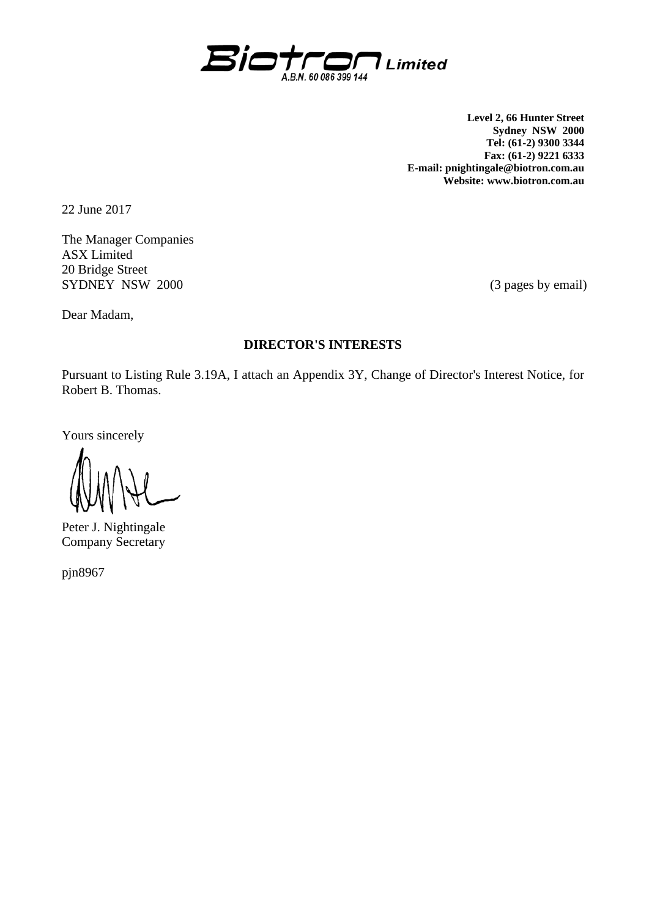

**Level 2, 66 Hunter Street Sydney NSW 2000 Tel: (61-2) 9300 3344 Fax: (61-2) 9221 6333 E-mail: pnightingale@biotron.com.au Website: www.biotron.com.au** 

22 June 2017

The Manager Companies ASX Limited 20 Bridge Street SYDNEY NSW 2000 (3 pages by email)

Dear Madam,

### **DIRECTOR'S INTERESTS**

Pursuant to Listing Rule 3.19A, I attach an Appendix 3Y, Change of Director's Interest Notice, for Robert B. Thomas.

Yours sincerely

Peter J. Nightingale Company Secretary

pjn8967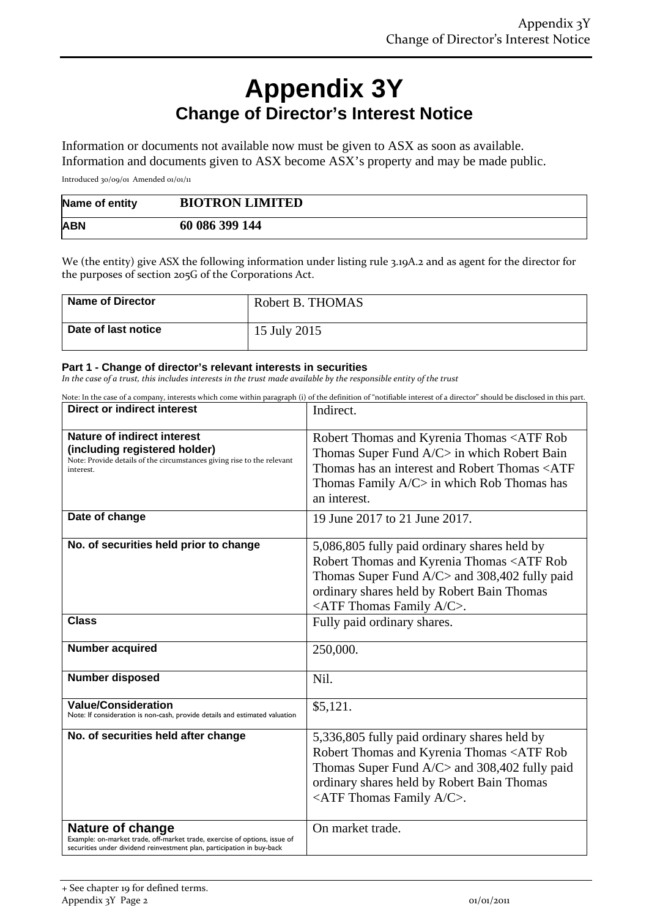# **Appendix 3Y Change of Director's Interest Notice**

Information or documents not available now must be given to ASX as soon as available. Information and documents given to ASX become ASX's property and may be made public.

Introduced 30/09/01 Amended 01/01/11

| Name of entity | <b>BIOTRON LIMITED</b> |
|----------------|------------------------|
| <b>ABN</b>     | 60 086 399 144         |

We (the entity) give ASX the following information under listing rule 3.19A.2 and as agent for the director for the purposes of section 205G of the Corporations Act.

| <b>Name of Director</b> | Robert B. THOMAS |
|-------------------------|------------------|
| Date of last notice     | 15 July 2015     |

#### **Part 1 - Change of director's relevant interests in securities**

In the case of a trust, this includes interests in the trust made available by the responsible entity of the trust

Note: In the case of a company, interests which come within paragraph (i) of the definition of "notifiable interest of a director" should be disclosed in this part.

| <b>Direct or indirect interest</b>                                                                                                                                      | Indirect.                                                                                                                                                                                                                                            |  |
|-------------------------------------------------------------------------------------------------------------------------------------------------------------------------|------------------------------------------------------------------------------------------------------------------------------------------------------------------------------------------------------------------------------------------------------|--|
| <b>Nature of indirect interest</b><br>(including registered holder)<br>Note: Provide details of the circumstances giving rise to the relevant<br>interest.              | Robert Thomas and Kyrenia Thomas <atf rob<br="">Thomas Super Fund A/C&gt; in which Robert Bain<br/>Thomas has an interest and Robert Thomas <atf<br>Thomas Family A/C&gt; in which Rob Thomas has<br/>an interest.</atf<br></atf>                    |  |
| Date of change                                                                                                                                                          | 19 June 2017 to 21 June 2017.                                                                                                                                                                                                                        |  |
| No. of securities held prior to change                                                                                                                                  | 5,086,805 fully paid ordinary shares held by<br>Robert Thomas and Kyrenia Thomas <atf rob<br="">Thomas Super Fund A/C&gt; and 308,402 fully paid<br/>ordinary shares held by Robert Bain Thomas<br/><atf a="" c="" family="" thomas="">.</atf></atf> |  |
| <b>Class</b>                                                                                                                                                            | Fully paid ordinary shares.                                                                                                                                                                                                                          |  |
| <b>Number acquired</b>                                                                                                                                                  | 250,000.                                                                                                                                                                                                                                             |  |
| <b>Number disposed</b>                                                                                                                                                  | Nil.                                                                                                                                                                                                                                                 |  |
| <b>Value/Consideration</b><br>Note: If consideration is non-cash, provide details and estimated valuation                                                               | \$5,121.                                                                                                                                                                                                                                             |  |
| No. of securities held after change                                                                                                                                     | 5,336,805 fully paid ordinary shares held by<br>Robert Thomas and Kyrenia Thomas <atf rob<br="">Thomas Super Fund A/C&gt; and 308,402 fully paid<br/>ordinary shares held by Robert Bain Thomas<br/><atf a="" c="" family="" thomas="">.</atf></atf> |  |
| Nature of change<br>Example: on-market trade, off-market trade, exercise of options, issue of<br>securities under dividend reinvestment plan, participation in buy-back | On market trade.                                                                                                                                                                                                                                     |  |